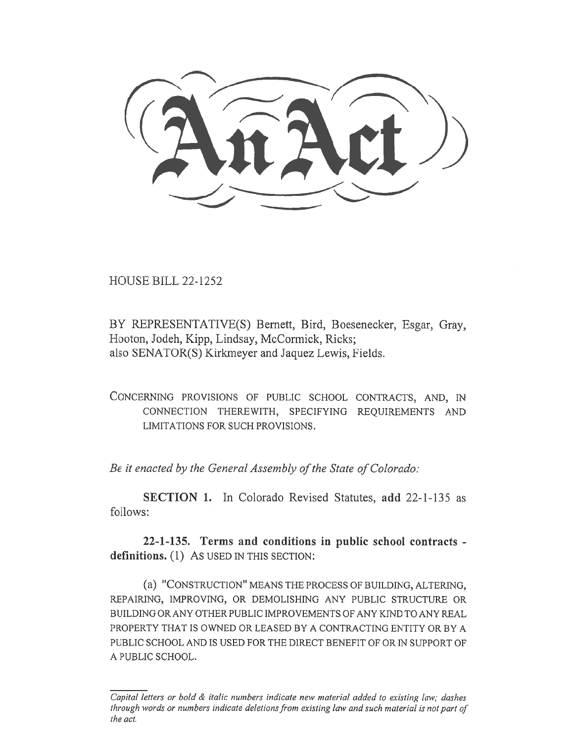$H_{\rm H}$ 

HOUSE BILL 22-1252

BY REPRESENTATIVE(S) Bernett, Bird, Boesenecker, Esgar, Gray, Hooton, Jodeh, Kipp, Lindsay, McCormick, Ricks; also SENATOR(S) Kirkmeyer and Jaquez Lewis, Fields.

CONCERNING PROVISIONS OF PUBLIC SCHOOL CONTRACTS, AND, IN CONNECTION THEREWITH, SPECIFYING REQUIREMENTS AND LIMITATIONS FOR SUCH PROVISIONS.

Be it enacted by the General Assembly of the State of Colorado:

SECTION 1. In Colorado Revised Statutes, add 22-1-135 as follows:

22-1-135. Terms and conditions in public school contracts definitions. (1) As USED IN THIS SECTION:

(a) "CONSTRUCTION" MEANS THE PROCESS OF BUILDING, ALTERING, REPAIRING, IMPROVING, OR DEMOLISHING ANY PUBLIC STRUCTURE OR BUILDING OR ANY OTHER PUBLIC IMPROVEMENTS OF ANY KIND TO ANY REAL PROPERTY THAT IS OWNED OR LEASED BY A CONTRACTING ENTITY OR BY A PUBLIC SCHOOL AND IS USED FOR THE DIRECT BENEFIT OF OR IN SUPPORT OF A PUBLIC SCHOOL.

Capital letters or bold & italic numbers indicate new material added to existing law; dashes through words or numbers indicate deletions from existing law and such material is not part of the act.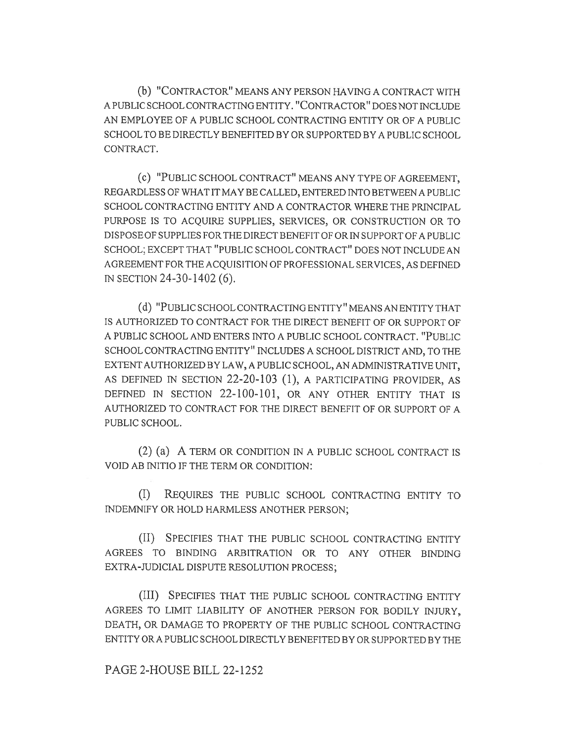(b) "CONTRACTOR" MEANS ANY PERSON HAVING A CONTRACT WITH A PUBLIC SCHOOL CONTRACTING ENTITY. "CONTRACTOR" DOES NOT INCLUDE AN EMPLOYEE OF A PUBLIC SCHOOL CONTRACTING ENTITY OR OF A PUBLIC SCHOOL TO BE DIRECTLY BENEFITED BY OR SUPPORTED BY A PUBLIC SCHOOL. CONTRACT.

(c) "PUBLIC SCHOOL CONTRACT" MEANS ANY TYPE OF AGREEMENT, REGARDLESS OF WHAT IT MAY BE CALLED, ENTERED INTO BETWEEN A PUBLIC SCHOOL CONTRACTING ENTITY AND A CONTRACTOR WHERE THE PRINCIPAL PURPOSE IS TO ACQUIRE SUPPLIES, SERVICES, OR CONSTRUCTION OR TO DISPOSE OF SUPPLIES FOR THE DIRECT BENEFIT OF OR IN SUPPORT OF A PUBLIC SCHOOL; EXCEPT THAT "PUBLIC SCHOOL CONTRACT" DOES NOT INCLUDE AN AGREEMENT FOR THE ACQUISITION OF PROFESSIONAL SERVICES, AS DEFINED IN SECTION 24-30-1402 (6).

(d) "PUBLIC SCHOOL CONTRACTING ENTITY" MEANS AN ENTITY THAT IS AUTHORIZED TO CONTRACT FOR THE DIRECT BENEFIT OF OR SUPPORT OF A PUBLIC SCHOOL AND ENTERS INTO A PUBLIC SCHOOL CONTRACT. "PUBLIC SCHOOL CONTRACTING ENTITY" INCLUDES A SCHOOL DISTRICT AND, TO THE EXTENT AUTHORIZED BY LAW, A PUBLIC SCHOOL, AN ADMINISTRATIVE UNIT, AS DEFINED IN SECTION 22-20-103 (1), A PARTICIPATING PROVIDER, AS DEFINED IN SECTION 22-100-101, OR ANY OTHER ENTITY THAT IS AUTHORIZED TO CONTRACT FOR THE DIRECT BENEFIT OF OR SUPPORT OF A PUBLIC SCHOOL.

(2) (a) A TERM OR CONDITION IN A PUBLIC SCHOOL CONTRACT IS VOID AB INITIO IF THE TERM OR CONDITION:

(I) REQUIRES THE PUBLIC SCHOOL CONTRACTING ENTITY TO INDEMNIFY OR HOLD HARMLESS ANOTHER PERSON;

(II) SPECIFIES THAT THE PUBLIC SCHOOL CONTRACTING ENTITY AGREES TO BINDING ARBITRATION OR TO ANY OTHER BINDING EXTRA-JUDICIAL DISPUTE RESOLUTION PROCESS;

(III) SPECIFIES THAT THE PUBLIC SCHOOL CONTRACTING ENTITY AGREES TO LIMIT LIABILITY OF ANOTHER PERSON FOR BODILY INJURY, DEATH, OR DAMAGE TO PROPERTY OF THE PUBLIC SCHOOL CONTRACTING ENTITY OR A PUBLIC SCHOOL DIRECTLY BENEFITED BY OR SUPPORTED BY THE

## PAGE 2-HOUSE BILL 22-1252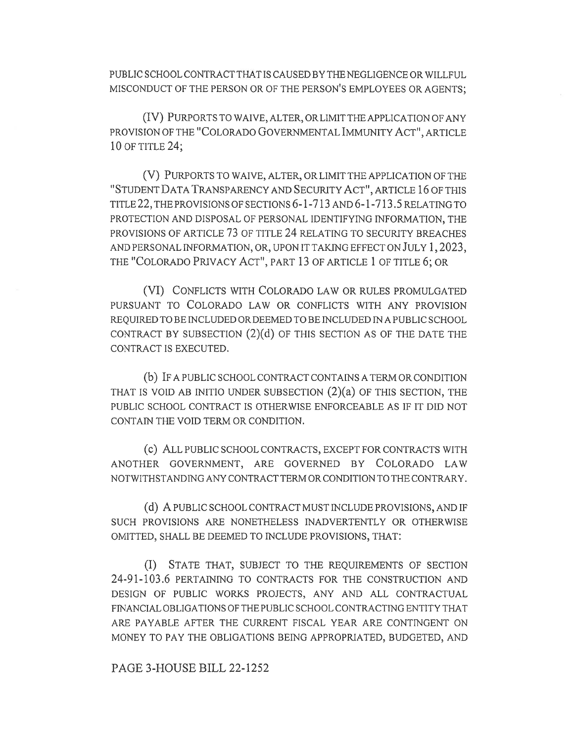PUBLIC SCHOOL CONTRACT THAT IS CAUSED BY THE NEGLIGENCE OR WILLFUL MISCONDUCT OF THE PERSON OR OF THE PERSON'S EMPLOYEES OR AGENTS;

(IV) PURPORTS TO WAIVE, ALTER, OR LIMIT THE APPLICATION OF ANY PROVISION OF THE "COLORADO GOVERNMENTAL IMMUNITY ACT", ARTICLE 10 OF TITLE 24;

(V) PURPORTS TO WAIVE, ALTER, OR LIMIT THE APPLICATION OF THE "STUDENT DATA TRANSPARENCY AND SECURITY ACT", ARTICLE 16 OF THIS TITLE 22, THE PROVISIONS OF SECTIONS 6-1-713 AND 6-1-713.5 RELATING TO PROTECTION AND DISPOSAL OF PERSONAL IDENTIFYING INFORMATION, THE PROVISIONS OF ARTICLE 73 OF TITLE 24 RELATING TO SECURITY BREACHES AND PERSONAL INFORMATION, OR, UPON IT TAKING EFFECT ON JULY 1, 2023, THE "COLORADO PRIVACY ACT", PART 13 OF ARTICLE 1 OF TITLE 6; OR

(VI) CONFLICTS WITH COLORADO LAW OR RULES PROMULGATED PURSUANT TO COLORADO LAW OR CONFLICTS WITH ANY PROVISION REQUIRED TO BE INCLUDED OR DEEMED TO BE INCLUDED IN A PUBLIC SCHOOL CONTRACT BY SUBSECTION  $(2)(d)$  OF THIS SECTION AS OF THE DATE THE CONTRACT IS EXECUTED.

(b) IF A PUBLIC SCHOOL CONTRACT CONTAINS A TERM OR CONDITION THAT IS VOID AB INITIO UNDER SUBSECTION  $(2)(a)$  OF THIS SECTION, THE PUBLIC SCHOOL CONTRACT IS OTHERWISE ENFORCEABLE AS IF IT DID NOT CONTAIN THE VOID TERM OR CONDITION.

(c) ALL PUBLIC SCHOOL CONTRACTS, EXCEPT FOR CONTRACTS WITH ANOTHER GOVERNMENT, ARE GOVERNED BY COLORADO LAW NOTWITHSTANDING ANY CONTRACT TERM OR CONDITION TO THE CONTRARY.

(d) A PUBLIC SCHOOL CONTRACT MUST INCLUDE PROVISIONS, AND IF SUCH PROVISIONS ARE NONETHELESS INADVERTENTLY OR OTHERWISE OMITTED, SHALL BE DEEMED TO INCLUDE PROVISIONS, THAT:

(I) STATE THAT, SUBJECT TO THE REQUIREMENTS OF SECTION 24-91-103.6 PERTAINING TO CONTRACTS FOR THE CONSTRUCTION AND DESIGN OF PUBLIC WORKS PROJECTS, ANY AND ALL CONTRACTUAL FINANCIAL OBLIGATIONS OF THE PUBLIC SCHOOL CONTRACTING ENTITY THAT ARE PAYABLE AFTER THE CURRENT FISCAL YEAR ARE CONTINGENT ON MONEY TO PAY THE OBLIGATIONS BEING APPROPRIATED, BUDGETED, AND

PAGE 3-HOUSE BILL 22-1252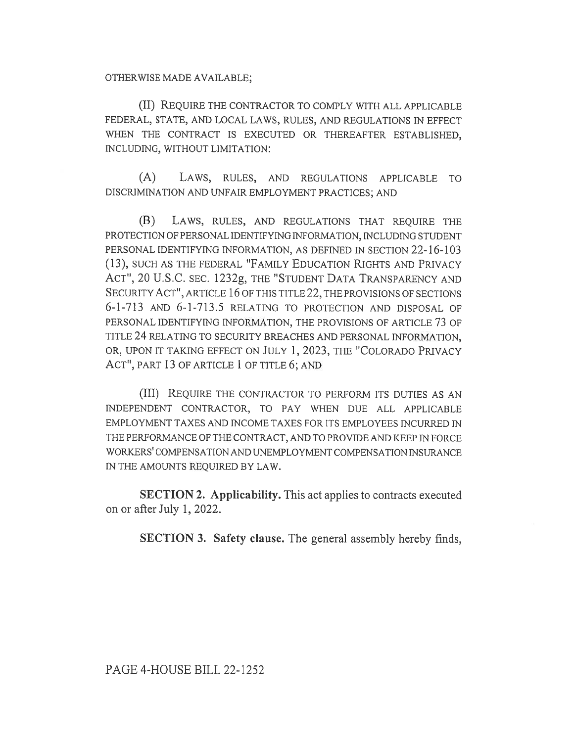OTHERWISE MADE AVAILABLE;

(II) REQUIRE THE CONTRACTOR TO COMPLY WITH ALL APPLICABLE FEDERAL, STATE, AND LOCAL LAWS, RULES, AND REGULATIONS IN EFFECT WHEN THE CONTRACT IS EXECUTED OR THEREAFTER ESTABLISHED, INCLUDING, WITHOUT LIMITATION:

(A) LAWS, RULES, AND REGULATIONS APPLICABLE TO DISCRIMINATION AND UNFAIR EMPLOYMENT PRACTICES; AND

(13) LAWS, RULES, AND REGULATIONS THAT REQUIRE THE PROTECTION OF PERSONAL IDENTIFYING INFORMATION, INCLUDING STUDENT PERSONAL IDENTIFYING INFORMATION, AS DEFINED IN SECTION 22-16-103 (13), SUCH AS THE FEDERAL "FAMILY EDUCATION RIGHTS AND PRIVACY ACT", 20 U.S.C. SEC. 1232g, THE "STUDENT DATA TRANSPARENCY AND SECURITY ACT", ARTICLE 16 OF THIS TITLE 22, THE PROVISIONS OF SECTIONS 6-1-713 AND 6-1-713.5 RELATING TO PROTECTION AND DISPOSAL OF PERSONAL IDENTIFYING INFORMATION, THE PROVISIONS OF ARTICLE 73 OF TITLE 24 RELATING TO SECURITY BREACHES AND PERSONAL INFORMATION, OR, UPON IT TAKING EFFECT ON JULY 1, 2023, THE "COLORADO PRIVACY ACT", PART 13 OF ARTICLE 1 OF TITLE 6; AND

(III) REQUIRE THE CONTRACTOR TO PERFORM ITS DUTIES AS AN INDEPENDENT CONTRACTOR, TO PAY WHEN DUE ALL APPLICABLE EMPLOYMENT TAXES AND INCOME TAXES FOR ITS EMPLOYEES INCURRED IN THE PERFORMANCE OF THE CONTRACT, AND TO PROVIDE AND KEEP IN FORCE WORKERS' COMPENSATION AND UNEMPLOYMENT COMPENSATION INSURANCE IN THE AMOUNTS REQUIRED BY LAW.

SECTION 2. Applicability. This act applies to contracts executed on or after July 1, 2022.

SECTION 3. Safety clause. The general assembly hereby finds,